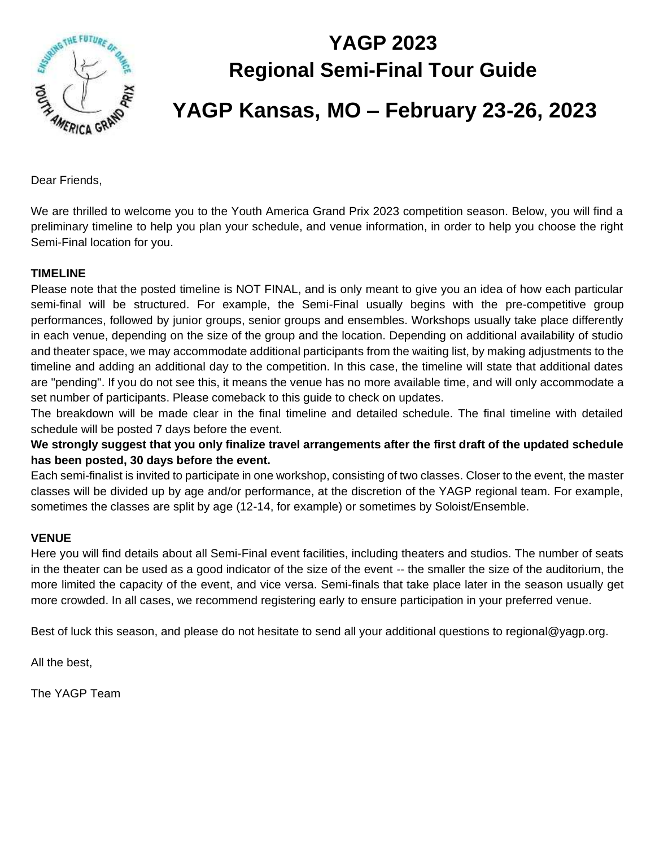

# **YAGP 2023 Regional Semi-Final Tour Guide YAGP Kansas, MO – February 23-26, 2023**

Dear Friends,

We are thrilled to welcome you to the Youth America Grand Prix 2023 competition season. Below, you will find a preliminary timeline to help you plan your schedule, and venue information, in order to help you choose the right Semi-Final location for you.

#### **TIMELINE**

Please note that the posted timeline is NOT FINAL, and is only meant to give you an idea of how each particular semi-final will be structured. For example, the Semi-Final usually begins with the pre-competitive group performances, followed by junior groups, senior groups and ensembles. Workshops usually take place differently in each venue, depending on the size of the group and the location. Depending on additional availability of studio and theater space, we may accommodate additional participants from the waiting list, by making adjustments to the timeline and adding an additional day to the competition. In this case, the timeline will state that additional dates are "pending". If you do not see this, it means the venue has no more available time, and will only accommodate a set number of participants. Please comeback to this guide to check on updates.

The breakdown will be made clear in the final timeline and detailed schedule. The final timeline with detailed schedule will be posted 7 days before the event.

**We strongly suggest that you only finalize travel arrangements after the first draft of the updated schedule has been posted, 30 days before the event.** 

Each semi-finalist is invited to participate in one workshop, consisting of two classes. Closer to the event, the master classes will be divided up by age and/or performance, at the discretion of the YAGP regional team. For example, sometimes the classes are split by age (12-14, for example) or sometimes by Soloist/Ensemble.

#### **VENUE**

Here you will find details about all Semi-Final event facilities, including theaters and studios. The number of seats in the theater can be used as a good indicator of the size of the event -- the smaller the size of the auditorium, the more limited the capacity of the event, and vice versa. Semi-finals that take place later in the season usually get more crowded. In all cases, we recommend registering early to ensure participation in your preferred venue.

Best of luck this season, and please do not hesitate to send all your additional questions to regional@yagp.org.

All the best,

The YAGP Team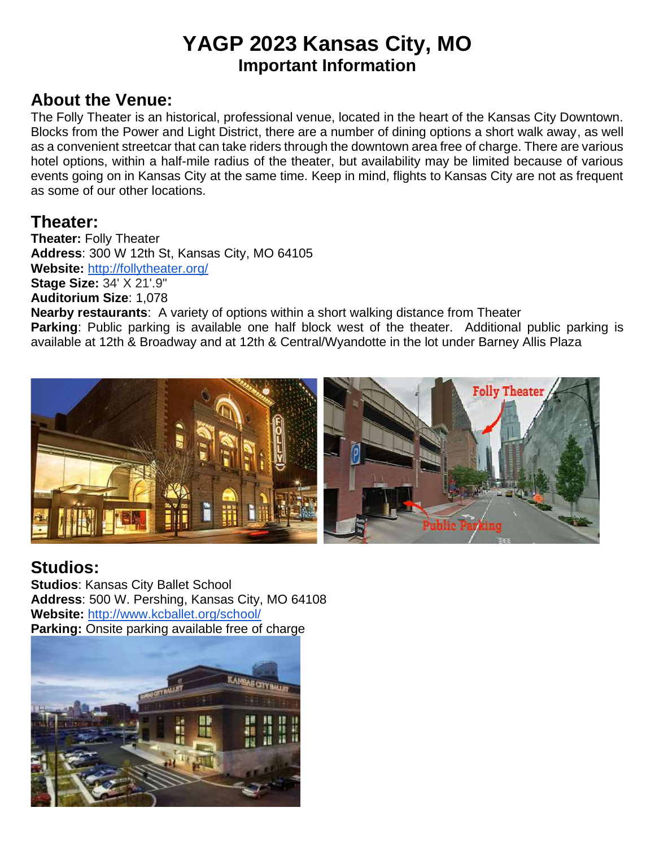## **YAGP 2023 Kansas City, MO Important Information**

#### **About the Venue:**

The Folly Theater is an historical, professional venue, located in the heart of the Kansas City Downtown. Blocks from the Power and Light District, there are a number of dining options a short walk away, as well as a convenient streetcar that can take riders through the downtown area free of charge. There are various hotel options, within a half-mile radius of the theater, but availability may be limited because of various events going on in Kansas City at the same time. Keep in mind, flights to Kansas City are not as frequent as some of our other locations.

#### **Theater:**

**Theater:** Folly Theater **Address**: 300 W 12th St, Kansas City, MO 64105 **Website:** <http://follytheater.org/> **Stage Size:** 34' X 21'.9" **Auditorium Size**: 1,078 **Nearby restaurants**: A variety of options within a short walking distance from Theater **Parking**: Public parking is available one half block west of the theater. Additional public parking is available at 12th & Broadway and at 12th & Central/Wyandotte in the lot under Barney Allis Plaza



### **Studios:**

**Studios**: Kansas City Ballet School **Address**: 500 W. Pershing, Kansas City, MO 64108 **Website:** <http://www.kcballet.org/school/> **Parking:** Onsite parking available free of charge